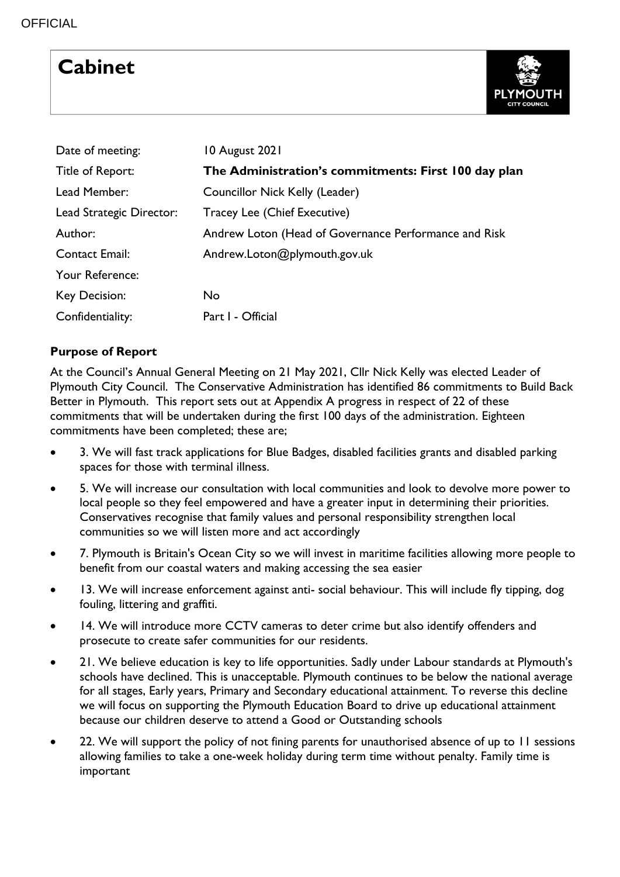# **Cabinet**



| Date of meeting:         | 10 August 2021                                        |
|--------------------------|-------------------------------------------------------|
| Title of Report:         | The Administration's commitments: First 100 day plan  |
| Lead Member:             | Councillor Nick Kelly (Leader)                        |
| Lead Strategic Director: | Tracey Lee (Chief Executive)                          |
| Author:                  | Andrew Loton (Head of Governance Performance and Risk |
| <b>Contact Email:</b>    | Andrew.Loton@plymouth.gov.uk                          |
| Your Reference:          |                                                       |
| Key Decision:            | <b>No</b>                                             |
| Confidentiality:         | Part I - Official                                     |

# **Purpose of Report**

At the Council's Annual General Meeting on 21 May 2021, Cllr Nick Kelly was elected Leader of Plymouth City Council. The Conservative Administration has identified 86 commitments to Build Back Better in Plymouth. This report sets out at Appendix A progress in respect of 22 of these commitments that will be undertaken during the first 100 days of the administration. Eighteen commitments have been completed; these are;

- 3. We will fast track applications for Blue Badges, disabled facilities grants and disabled parking spaces for those with terminal illness.
- 5. We will increase our consultation with local communities and look to devolve more power to local people so they feel empowered and have a greater input in determining their priorities. Conservatives recognise that family values and personal responsibility strengthen local communities so we will listen more and act accordingly
- 7. Plymouth is Britain's Ocean City so we will invest in maritime facilities allowing more people to benefit from our coastal waters and making accessing the sea easier
- 13. We will increase enforcement against anti- social behaviour. This will include fly tipping, dog fouling, littering and graffiti.
- 14. We will introduce more CCTV cameras to deter crime but also identify offenders and prosecute to create safer communities for our residents.
- 21. We believe education is key to life opportunities. Sadly under Labour standards at Plymouth's schools have declined. This is unacceptable. Plymouth continues to be below the national average for all stages, Early years, Primary and Secondary educational attainment. To reverse this decline we will focus on supporting the Plymouth Education Board to drive up educational attainment because our children deserve to attend a Good or Outstanding schools
- 22. We will support the policy of not fining parents for unauthorised absence of up to 11 sessions allowing families to take a one-week holiday during term time without penalty. Family time is important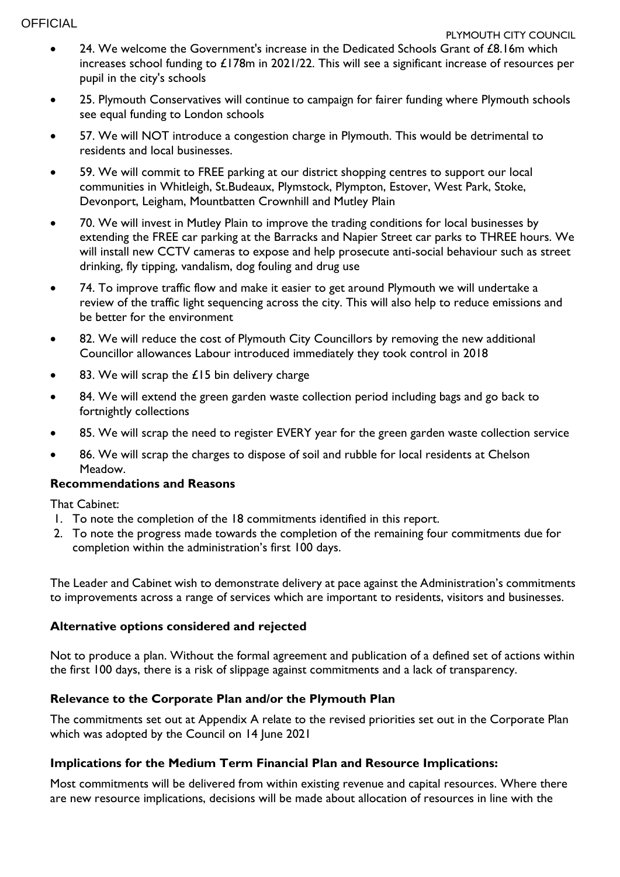#### **OFFICIAL**

- 24. We welcome the Government's increase in the Dedicated Schools Grant of  $£8.16m$  which increases school funding to £178m in 2021/22. This will see a significant increase of resources per pupil in the city's schools
- 25. Plymouth Conservatives will continue to campaign for fairer funding where Plymouth schools see equal funding to London schools
- 57. We will NOT introduce a congestion charge in Plymouth. This would be detrimental to residents and local businesses.
- 59. We will commit to FREE parking at our district shopping centres to support our local communities in Whitleigh, St.Budeaux, Plymstock, Plympton, Estover, West Park, Stoke, Devonport, Leigham, Mountbatten Crownhill and Mutley Plain
- 70. We will invest in Mutley Plain to improve the trading conditions for local businesses by extending the FREE car parking at the Barracks and Napier Street car parks to THREE hours. We will install new CCTV cameras to expose and help prosecute anti-social behaviour such as street drinking, fly tipping, vandalism, dog fouling and drug use
- 74. To improve traffic flow and make it easier to get around Plymouth we will undertake a review of the traffic light sequencing across the city. This will also help to reduce emissions and be better for the environment
- 82. We will reduce the cost of Plymouth City Councillors by removing the new additional Councillor allowances Labour introduced immediately they took control in 2018
- 83. We will scrap the £15 bin delivery charge
- 84. We will extend the green garden waste collection period including bags and go back to fortnightly collections
- 85. We will scrap the need to register EVERY year for the green garden waste collection service
- 86. We will scrap the charges to dispose of soil and rubble for local residents at Chelson Meadow.

# **Recommendations and Reasons**

That Cabinet:

- 1. To note the completion of the 18 commitments identified in this report.
- 2. To note the progress made towards the completion of the remaining four commitments due for completion within the administration's first 100 days.

The Leader and Cabinet wish to demonstrate delivery at pace against the Administration's commitments to improvements across a range of services which are important to residents, visitors and businesses.

#### **Alternative options considered and rejected**

Not to produce a plan. Without the formal agreement and publication of a defined set of actions within the first 100 days, there is a risk of slippage against commitments and a lack of transparency.

# **Relevance to the Corporate Plan and/or the Plymouth Plan**

The commitments set out at Appendix A relate to the revised priorities set out in the Corporate Plan which was adopted by the Council on 14 June 2021

# **Implications for the Medium Term Financial Plan and Resource Implications:**

Most commitments will be delivered from within existing revenue and capital resources. Where there are new resource implications, decisions will be made about allocation of resources in line with the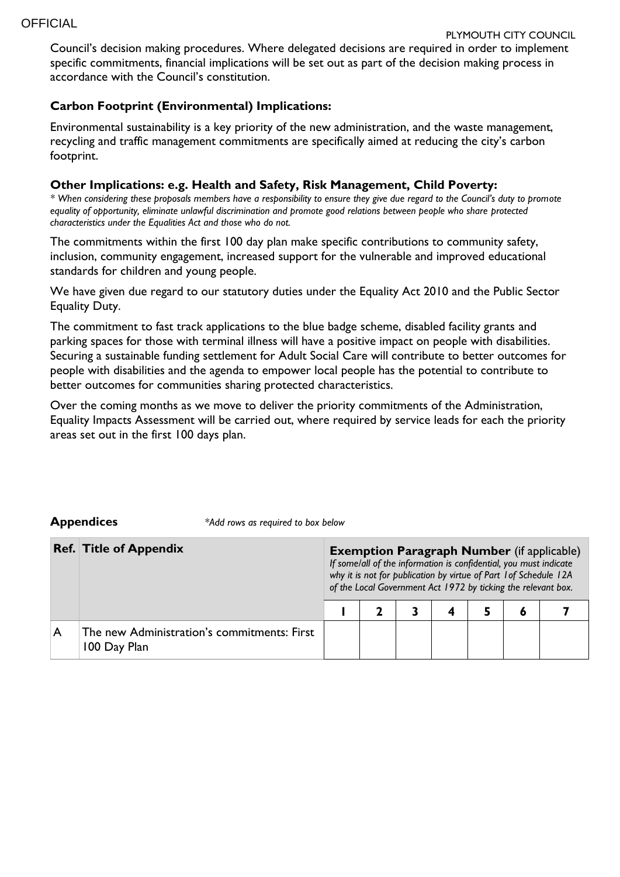Council's decision making procedures. Where delegated decisions are required in order to implement specific commitments, financial implications will be set out as part of the decision making process in accordance with the Council's constitution.

### **Carbon Footprint (Environmental) Implications:**

Environmental sustainability is a key priority of the new administration, and the waste management, recycling and traffic management commitments are specifically aimed at reducing the city's carbon footprint.

#### **Other Implications: e.g. Health and Safety, Risk Management, Child Poverty:**

*\* When considering these proposals members have a responsibility to ensure they give due regard to the Council's duty to promote equality of opportunity, eliminate unlawful discrimination and promote good relations between people who share protected characteristics under the Equalities Act and those who do not.*

The commitments within the first 100 day plan make specific contributions to community safety, inclusion, community engagement, increased support for the vulnerable and improved educational standards for children and young people.

We have given due regard to our statutory duties under the Equality Act 2010 and the Public Sector Equality Duty.

The commitment to fast track applications to the blue badge scheme, disabled facility grants and parking spaces for those with terminal illness will have a positive impact on people with disabilities. Securing a sustainable funding settlement for Adult Social Care will contribute to better outcomes for people with disabilities and the agenda to empower local people has the potential to contribute to better outcomes for communities sharing protected characteristics.

Over the coming months as we move to deliver the priority commitments of the Administration, Equality Impacts Assessment will be carried out, where required by service leads for each the priority areas set out in the first 100 days plan.

**Appendices** *\*Add rows as required to box below*

|   | <b>Ref. Title of Appendix</b>                               | <b>Exemption Paragraph Number</b> (if applicable)<br>If some/all of the information is confidential, you must indicate<br>why it is not for publication by virtue of Part 1 of Schedule 12A<br>of the Local Government Act 1972 by ticking the relevant box. |  |  |  |  |           |  |  |  |
|---|-------------------------------------------------------------|--------------------------------------------------------------------------------------------------------------------------------------------------------------------------------------------------------------------------------------------------------------|--|--|--|--|-----------|--|--|--|
|   |                                                             |                                                                                                                                                                                                                                                              |  |  |  |  | $\bullet$ |  |  |  |
| A | The new Administration's commitments: First<br>100 Day Plan |                                                                                                                                                                                                                                                              |  |  |  |  |           |  |  |  |